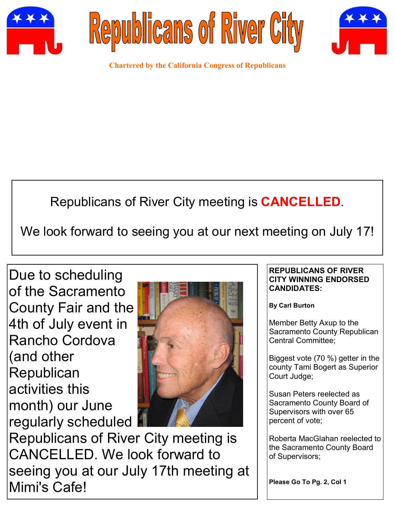





**Chartered by the California Congress of Republicans**

# Republicans of River City meeting is **CANCELLED**.

We look forward to seeing you at our next meeting on July 17!

Due to scheduling of the Sacramento County Fair and the 4th of July event in Rancho Cordova (and other **Republican** activities this month) our June regularly scheduled



Republicans of River City meeting is CANCELLED. We look forward to seeing you at our July 17th meeting at Mimi's Cafe!

# **REPUBLICANS OF RIVER CITY WINNING ENDORSED CANDIDATES:**

**By Carl Burton**

Member Betty Axup to the Sacramento County Republican Central Committee;

Biggest vote (70 %) getter in the county Tami Bogert as Superior Court Judge;

Susan Peters reelected as Sacramento County Board of Supervisors with over 65 percent of vote;

Roberta MacGlahan reelected to the Sacramento County Board of Supervisors;

**Please Go To Pg. 2, Col 1**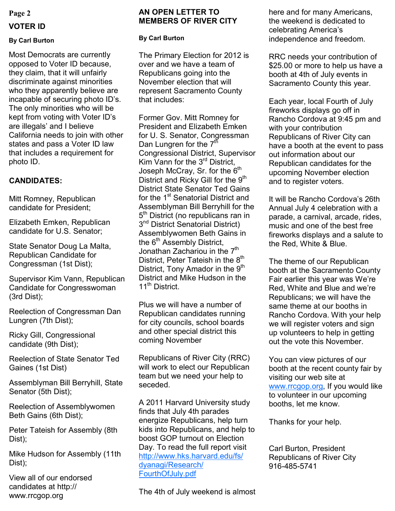# **Page 2**

# **VOTER ID**

## **By Carl Burton**

Most Democrats are currently opposed to Voter ID because, they claim, that it will unfairly discriminate against minorities who they apparently believe are incapable of securing photo ID's. The only minorities who will be kept from voting with Voter ID's are illegals' and I believe California needs to join with other states and pass a Voter ID law that includes a requirement for photo ID.

# **CANDIDATES:**

Mitt Romney, Republican candidate for President;

Elizabeth Emken, Republican candidate for U.S. Senator;

State Senator Doug La Malta, Republican Candidate for Congressman (1st Dist);

Supervisor Kim Vann, Republican Candidate for Congresswoman (3rd Dist);

Reelection of Congressman Dan Lungren (7th Dist);

Ricky Gill, Congressional candidate (9th Dist);

Reelection of State Senator Ted Gaines (1st Dist)

Assemblyman Bill Berryhill, State Senator (5th Dist);

Reelection of Assemblywomen Beth Gains (6th Dist);

Peter Tateish for Assembly (8th Dist);

Mike Hudson for Assembly (11th Dist);

View all of our endorsed candidates at http:// www.rrcgop.org

# **AN OPEN LETTER TO MEMBERS OF RIVER CITY**

**By Carl Burton**

The Primary Election for 2012 is over and we have a team of Republicans going into the November election that will represent Sacramento County that includes:

Former Gov. Mitt Romney for President and Elizabeth Emken for U. S. Senator, Congressman Dan Lungren for the  $7<sup>th</sup>$ Congressional District, Supervisor Kim Vann for the 3rd District, Joseph McCray, Sr. for the 6<sup>th</sup> District and Ricky Gill for the  $9<sup>th</sup>$ District State Senator Ted Gains for the 1<sup>st</sup> Senatorial District and Assemblyman Bill Berryhill for the 5<sup>th</sup> District (no republicans ran in 3<sup>nd</sup> District Senatorial District) Assemblywomen Beth Gains in the  $6<sup>th</sup>$  Assembly District, Jonathan Zachariou in the 7<sup>th</sup> District, Peter Tateish in the  $8<sup>th</sup>$ District, Tony Amador in the  $9<sup>th</sup>$ District and Mike Hudson in the 11<sup>th</sup> District

Plus we will have a number of Republican candidates running for city councils, school boards and other special district this coming November

Republicans of River City (RRC) will work to elect our Republican team but we need your help to seceded.

A 2011 Harvard University study finds that July 4th parades energize Republicans, help turn kids into Republicans, and help to boost GOP turnout on Election Day. To read the full report visit [http://www.hks.harvard.edu/fs/](http://www.hks.harvard.edu/fs/dyanagi/Research/FourthOfJuly.pdf) [dyanagi/Research/](http://www.hks.harvard.edu/fs/dyanagi/Research/FourthOfJuly.pdf) [FourthOfJuly.pdf](http://www.hks.harvard.edu/fs/dyanagi/Research/FourthOfJuly.pdf)

The 4th of July weekend is almost

here and for many Americans, the weekend is dedicated to celebrating America's independence and freedom.

RRC needs your contribution of \$25.00 or more to help us have a booth at 4th of July events in Sacramento County this year.

Each year, local Fourth of July fireworks displays go off in Rancho Cordova at 9:45 pm and with your contribution Republicans of River City can have a booth at the event to pass out information about our Republican candidates for the upcoming November election and to register voters.

It will be Rancho Cordova's 26th Annual July 4 celebration with a parade, a carnival, arcade, rides, music and one of the best free fireworks displays and a salute to the Red, White & Blue.

The theme of our Republican booth at the Sacramento County Fair earlier this year was We're Red, White and Blue and we're Republicans; we will have the same theme at our booths in Rancho Cordova. With your help we will register voters and sign up volunteers to help in getting out the vote this November.

You can view pictures of our booth at the recent county fair by visiting our web site at [www.rrcgop.org,](http://www.rrcgop.org) If you would like to volunteer in our upcoming booths, let me know.

Thanks for your help.

Carl Burton, President Republicans of River City 916-485-5741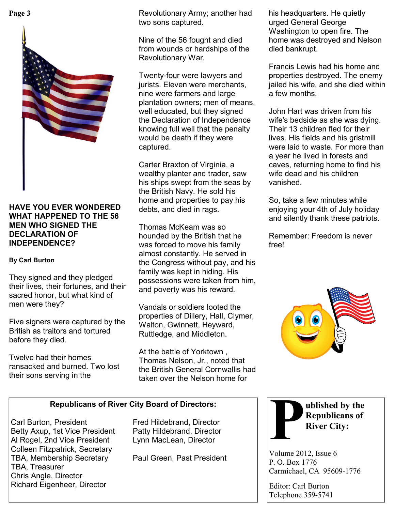

## **HAVE YOU EVER WONDERED WHAT HAPPENED TO THE 56 MEN WHO SIGNED THE DECLARATION OF INDEPENDENCE?**

# **By Carl Burton**

They signed and they pledged their lives, their fortunes, and their sacred honor, but what kind of men were they?

Five signers were captured by the British as traitors and tortured before they died.

Twelve had their homes ransacked and burned. Two lost their sons serving in the

**Page 3 his headquarters. He quietly** Revolutionary Army; another had his headquarters. He quietly two sons captured.

> Nine of the 56 fought and died from wounds or hardships of the Revolutionary War.

Twenty-four were lawyers and jurists. Eleven were merchants, nine were farmers and large plantation owners; men of means, well educated, but they signed the Declaration of Independence knowing full well that the penalty would be death if they were captured.

Carter Braxton of Virginia, a wealthy planter and trader, saw his ships swept from the seas by the British Navy. He sold his home and properties to pay his debts, and died in rags.

Thomas McKeam was so hounded by the British that he was forced to move his family almost constantly. He served in the Congress without pay, and his family was kept in hiding. His possessions were taken from him, and poverty was his reward.

Vandals or soldiers looted the properties of Dillery, Hall, Clymer, Walton, Gwinnett, Heyward, Ruttledge, and Middleton.

At the battle of Yorktown , Thomas Nelson, Jr., noted that the British General Cornwallis had taken over the Nelson home for

**Republicans of River City Board of Directors:**

Carl Burton, President Fred Hildebrand, Director Betty Axup, 1st Vice President Patty Hildebrand, Director Al Rogel, 2nd Vice President Lynn MacLean, Director Colleen Fitzpatrick, Secretary TBA, Membership Secretary Paul Green, Past President TBA, Treasurer Chris Angle, Director Richard Eigenheer, Director

urged General George Washington to open fire. The home was destroyed and Nelson died bankrupt.

Francis Lewis had his home and properties destroyed. The enemy jailed his wife, and she died within a few months.

John Hart was driven from his wife's bedside as she was dying. Their 13 children fled for their lives. His fields and his gristmill were laid to waste. For more than a year he lived in forests and caves, returning home to find his wife dead and his children vanished.

So, take a few minutes while enjoying your 4th of July holiday and silently thank these patriots.

Remember: Freedom is never free!





Volume 2012, Issue 6 P. O. Box 1776 Carmichael, CA 95609-1776

Editor: Carl Burton Telephone 359-5741